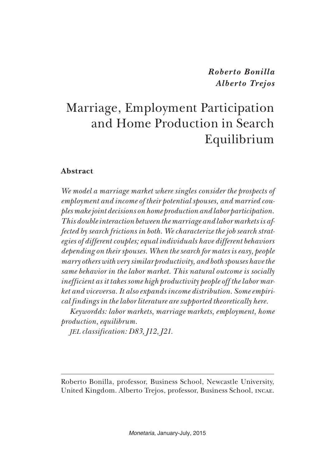*Roberto Bonilla Alberto Trejos*

# Marriage, Employment Participation and Home Production in Search Equilibrium

#### **Abstract**

*We model a marriage market where singles consider the prospects of employment and income of their potential spouses, and married couples make joint decisions on home production and labor participation. This double interaction between the marriage and labor markets is affected by search frictions in both. We characterize the job search strategies of different couples; equal individuals have different behaviors depending on their spouses. When the search for mates is easy, people marry others with very similar productivity, and both spouses have the same behavior in the labor market. This natural outcome is socially inefficient as it takes some high productivity people off the labor market and viceversa. It also expands income distribution. Some empirical findings in the labor literature are supported theoretically here.*

*Keywordds: labor markets, marriage markets, employment, home production, equilibrum.*

*jel classification: D83, J12, J21.*

Roberto Bonilla, professor, Business School, Newcastle University, United Kingdom. Alberto Trejos, professor, Business School, incae.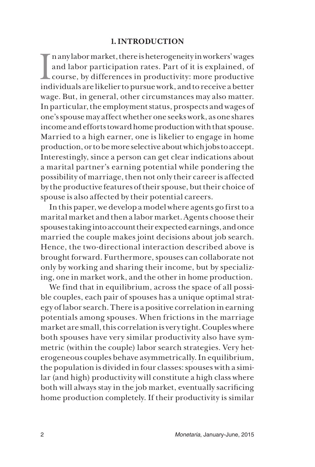## **1. INTRODUCTION**

 $\prod_{i=1}^n$ n any labor market, there is heterogeneity in workers' wages and labor participation rates. Part of it is explained, of course, by differences in productivity: more productive individuals are likelier to pursue work, and to receive a better wage. But, in general, other circumstances may also matter. In particular, the employment status, prospects and wages of one's spouse may affect whether one seeks work, as one shares income and efforts toward home production with that spouse. Married to a high earner, one is likelier to engage in home production, or to be more selective about which jobs to accept. Interestingly, since a person can get clear indications about a marital partner's earning potential while pondering the possibility of marriage, then not only their career is affected by the productive features of their spouse, but their choice of spouse is also affected by their potential careers.

In this paper, we develop a model where agents go first to a marital market and then a labor market. Agents choose their spouses taking into account their expected earnings, and once married the couple makes joint decisions about job search. Hence, the two-directional interaction described above is brought forward. Furthermore, spouses can collaborate not only by working and sharing their income, but by specializing, one in market work, and the other in home production.

We find that in equilibrium, across the space of all possible couples, each pair of spouses has a unique optimal strategy of labor search. There is a positive correlation in earning potentials among spouses. When frictions in the marriage market are small, this correlation is very tight. Couples where both spouses have very similar productivity also have symmetric (within the couple) labor search strategies. Very heterogeneous couples behave asymmetrically. In equilibrium, the population is divided in four classes: spouses with a similar (and high) productivity will constitute a high class where both will always stay in the job market, eventually sacrificing home production completely. If their productivity is similar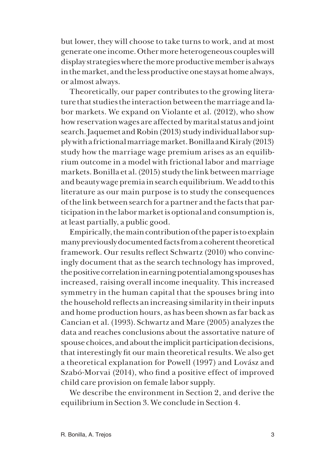but lower, they will choose to take turns to work, and at most generate one income. Other more heterogeneous couples will display strategies where the more productive member is always in the market, and the less productive one stays at home always, or almost always.

Theoretically, our paper contributes to the growing literature that studies the interaction between the marriage and labor markets. We expand on Violante et al. (2012), who show how reservation wages are affected by marital status and joint search. Jaquemet and Robin (2013) study individual labor supply with a frictional marriage market. Bonilla and Kiraly (2013) study how the marriage wage premium arises as an equilibrium outcome in a model with frictional labor and marriage markets. Bonilla et al. (2015) study the link between marriage and beauty wage premia in search equilibrium. We add to this literature as our main purpose is to study the consequences of the link between search for a partner and the facts that participation in the labor market is optional and consumption is, at least partially, a public good.

Empirically, the main contribution of the paper is to explain many previously documented facts from a coherent theoretical framework. Our results reflect Schwartz (2010) who convincingly document that as the search technology has improved, the positive correlation in earning potential among spouses has increased, raising overall income inequality. This increased symmetry in the human capital that the spouses bring into the household reflects an increasing similarity in their inputs and home production hours, as has been shown as far back as Cancian et al. (1993). Schwartz and Mare (2005) analyzes the data and reaches conclusions about the assortative nature of spouse choices, and about the implicit participation decisions, that interestingly fit our main theoretical results. We also get a theoretical explanation for Powell (1997) and Lovász and Szabó-Morvai (2014), who find a positive effect of improved child care provision on female labor supply.

We describe the environment in Section 2, and derive the equilibrium in Section 3. We conclude in Section 4.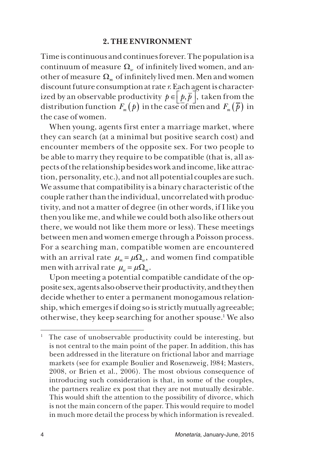#### **2. THE ENVIRONMENT**

Time is continuous and continues forever. The population is a continuum of measure  $\Omega_{w}$  of infinitely lived women, and another of measure  $\Omega_m$  of infinitely lived men. Men and women discount future consumption at rate *r*. Each agent is characterized by an observable productivity  $p \in \left\lfloor \frac{p}{p}, \overline{p} \right\rfloor$ , taken from the distribution function  $F_m(p)$  in the case of men and  $F_m(\bar{p})$  in the case of women.

When young, agents first enter a marriage market, where they can search (at a minimal but positive search cost) and encounter members of the opposite sex. For two people to be able to marry they require to be compatible (that is, all aspects of the relationship besides work and income, like attraction, personality, etc.), and not all potential couples are such. We assume that compatibility is a binary characteristic of the couple rather than the individual, uncorrelated with productivity, and not a matter of degree (in other words, if I like you then you like me, and while we could both also like others out there, we would not like them more or less). These meetings between men and women emerge through a Poisson process. For a searching man, compatible women are encountered with an arrival rate  $\mu_m = \mu \Omega_m$ , and women find compatible men with arrival rate  $\mu = \mu \Omega_m$ .

Upon meeting a potential compatible candidate of the opposite sex, agents also observe their productivity, and they then decide whether to enter a permanent monogamous relationship, which emerges if doing so is strictly mutually agreeable; otherwise, they keep searching for another spouse.1 We also

<sup>1</sup> The case of unobservable productivity could be interesting, but is not central to the main point of the paper. In addition, this has been addressed in the literature on frictional labor and marriage markets (see for example Boulier and Rosenzweig, l984; Masters, 2008, or Brien et al., 2006). The most obvious consequence of introducing such consideration is that, in some of the couples, the partners realize ex post that they are not mutually desirable. This would shift the attention to the possibility of divorce, which is not the main concern of the paper. This would require to model in much more detail the process by which information is revealed.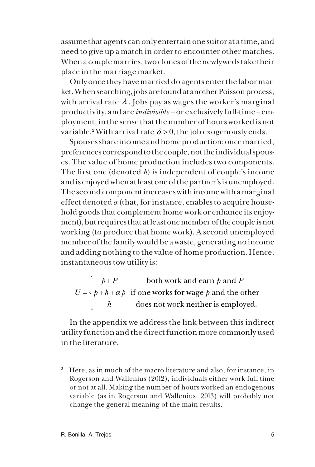assume that agents can only entertain one suitor at a time, and need to give up a match in order to encounter other matches. When a couple marries, two clones of the newlyweds take their place in the marriage market.

Only once they have married do agents enter the labor market. When searching, jobs are found at another Poisson process, with arrival rate  $\lambda$ . Jobs pay as wages the worker's marginal productivity, and are *indivisible* – or exclusively full-time – employment, in the sense that the number of hours worked is not variable.<sup>2</sup> With arrival rate  $\delta$  > 0, the job exogenously ends.

Spouses share income and home production; once married, preferences correspond to the couple, not the individual spouses. The value of home production includes two components. The first one (denoted *h*) is independent of couple's income and is enjoyed when at least one of the partner's is unemployed. The second component increases with income with a marginal effect denoted *α* (that, for instance, enables to acquire household goods that complement home work or enhance its enjoyment), but requires that at least one member of the couple is not working (to produce that home work). A second unemployed member of the family would be a waste, generating no income and adding nothing to the value of home production. Hence, instantaneous tow utility is:

*U*  $p + P$  $p + h + \alpha p$ *h*  $p$  and  $P$ = +  $+h +$  $\int$  $\left\{ \right.$  $\overline{ }$  $\overline{\mathcal{L}}$ α both work and earn  $\rho$  and if one works for wage  $\emph{p}$  and the other does not work neither is employed. *p*

In the appendix we address the link between this indirect utility function and the direct function more commonly used in the literature.

<sup>&</sup>lt;sup>2</sup> Here, as in much of the macro literature and also, for instance, in Rogerson and Wallenius (20l2), individuals either work full time or not at all. Making the number of hours worked an endogenous variable (as in Rogerson and Wallenius, 20l3) will probably not change the general meaning of the main results.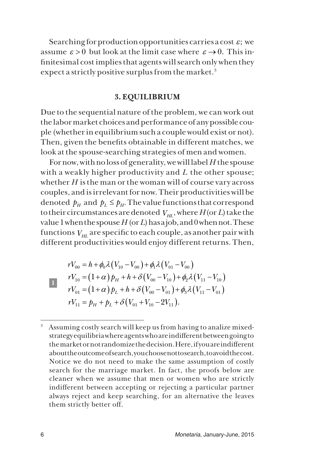Searching for production opportunities carries a cost  $\varepsilon$ ; we assume  $\varepsilon > 0$  but look at the limit case where  $\varepsilon \to 0$ . This infinitesimal cost implies that agents will search only when they expect a strictly positive surplus from the market.<sup>3</sup>

### **3. EQUILIBRIUM**

Due to the sequential nature of the problem, we can work out the labor market choices and performance of any possible couple (whether in equilibrium such a couple would exist or not). Then, given the benefits obtainable in different matches, we look at the spouse-searching strategies of men and women.

For now, with no loss of generality, we will label *H* the spouse with a weakly higher productivity and *L* the other spouse; whether *H* is the man or the woman will of course vary across couples, and is irrelevant for now. Their productivities will be denoted  $p_\mu$  and  $p_l \leq p_\mu$ . The value functions that correspond to their circumstances are denoted  $V_{H}$ , where  $H$  (or *L*) take the value 1 when the spouse *H* (or *L*) has a job, and 0 when not. These functions  $V_{H}$  are specific to each couple, as another pair with different productivities would enjoy different returns. Then,

 **1** 

$$
rV_{00} = h + \phi_0 \lambda (V_{10} - V_{00}) + \phi_1 \lambda (V_{01} - V_{00})
$$
  
\n
$$
rV_{10} = (1 + \alpha) p_H + h + \delta (V_{00} - V_{10}) + \phi_2 \lambda (V_{11} - V_{10})
$$
  
\n
$$
rV_{01} = (1 + \alpha) p_L + h + \delta (V_{00} - V_{01}) + \phi_3 \lambda (V_{11} - V_{01})
$$
  
\n
$$
rV_{11} = p_H + p_L + \delta (V_{01} + V_{10} - 2V_{11}).
$$

<sup>&</sup>lt;sup>3</sup> Assuming costly search will keep us from having to analize mixedstrategy equilibria where agents who are indifferent between going to the market or not randomize the decision. Here, if you are indifferent about the outcome of search, you choose not to search, to avoid the cost. Notice we do not need to make the same assumption of costly search for the marriage market. In fact, the proofs below are cleaner when we assume that men or women who are strictly indifferent between accepting or rejecting a particular partner always reject and keep searching, for an alternative the leaves them strictly better off.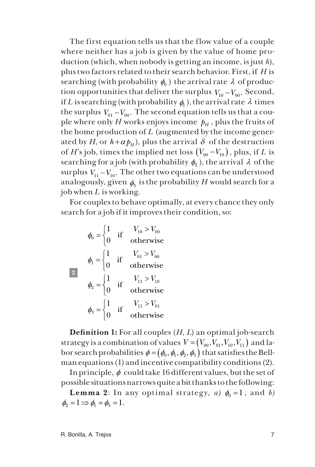The first equation tells us that the flow value of a couple where neither has a job is given by the value of home production (which, when nobody is getting an income, is just *h*), plus two factors related to their search behavior. First, if *H* is searching (with probability  $\phi_0$ ) the arrival rate  $\lambda$  of production opportunities that deliver the surplus  $V_{10} - V_{00}$ . Second, if *L* is searching (with probability  $\phi_1$ ), the arrival rate  $\lambda$  times the surplus  $V_{01} - V_{00}$ . The second equation tells us that a couple where only *H* works enjoys income  $p<sub>H</sub>$ , plus the fruits of the home production of *L* (augmented by the income generated by *H*, or  $h + \alpha p_\mu$ , plus the arrival  $\delta$  of the destruction of *H*'s job, times the implied net loss  $(V_{00} - V_{10})$ , plus, if *L* is searching for a job (with probability  $\phi$ ,), the arrival  $\lambda$  of the surplus  $V_{11} - V_{10}$ . The other two equations can be understood analogously, given  $\phi_3$  is the probability *H* would search for a job when *L* is working.

For couples to behave optimally, at every chance they only search for a job if it improves their condition, so:

$$
\phi_0 = \begin{cases}\n1 & \text{if } & V_{10} > V_{00} \\
0 & \text{otherwise}\n\end{cases}
$$
\n
$$
\phi_1 = \begin{cases}\n1 & \text{if } & V_{01} > V_{00} \\
0 & \text{otherwise}\n\end{cases}
$$
\n
$$
\phi_2 = \begin{cases}\n1 & \text{if } & V_{11} > V_{10} \\
0 & \text{otherwise}\n\end{cases}
$$
\n
$$
\phi_3 = \begin{cases}\n1 & \text{if } & V_{11} > V_{01} \\
0 & \text{otherwise}\n\end{cases}
$$

**Definition 1:** For all couples (*H*, *L*) an optimal job-search strategy is a combination of values  $V = (V_{00}, V_{01}, V_{10}, V_{11})$  and labor search probabilities  $\phi = (\phi_0, \phi_1, \phi_2, \phi_3)$  that satisfies the Bellman equations (1) and incentive compatibility conditions (2).

In principle,  $\phi$  could take 16 different values, but the set of possible situations narrows quite a bit thanks to the following:

**Lemma 2**: In any optimal strategy, *a*)  $\phi_0 = 1$ , and *b*)  $\phi_2 = 1 \Rightarrow \phi_1 = \phi_2 = 1$ .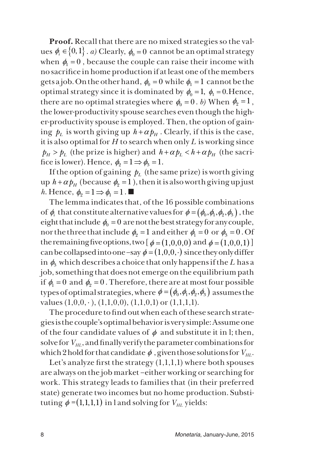**Proof.** Recall that there are no mixed strategies so the values  $\phi_i \in \{0,1\}$ . *a*) Clearly,  $\phi_0 = 0$  cannot be an optimal strategy when  $\phi_1 = 0$ , because the couple can raise their income with no sacrifice in home production if at least one of the members gets a job. On the other hand,  $\phi_0 = 0$  while  $\phi_1 = 1$  cannot be the optimal strategy since it is dominated by  $\phi_0 = 1$ ,  $\phi_1 = 0$ . Hence, there are no optimal strategies where  $\phi_0 = 0$ . *b*) When  $\phi_2 = 1$ , the lower-productivity spouse searches even though the higher-productivity spouse is employed. Then, the option of gaining  $p_l$  is worth giving up  $h + \alpha p_\mu$ . Clearly, if this is the case, it is also optimal for *H* to search when only *L* is working since  $p_H > p_L$  (the prize is higher) and  $h + \alpha p_L < h + \alpha p_H$  (the sacrifice is lower). Hence,  $\phi_0 = 1 \Rightarrow \phi_3 = 1$ .

If the option of gaining  $p_l$  (the same prize) is worth giving up  $h + \alpha p_H$  (because  $\phi_2 = 1$ ), then it is also worth giving up just *h*. Hence,  $\phi_2 = 1 \Rightarrow \phi_1 = 1$ .

The lemma indicates that, of the 16 possible combinations of  $\phi_i$  that constitute alternative values for  $\phi = (\phi_0, \phi_1, \phi_2, \phi_3)$ , the eight that include  $\phi_0 = 0$  are not the best strategy for any couple, nor the three that include  $\phi_2 = 1$  and either  $\phi_1 = 0$  or  $\phi_3 = 0$ . Of the remaining five options, two  $\phi = (1,0,0,0)$  and  $\phi = (1,0,0,1)$ can be collapsed into one –say  $\phi = (1,0,0, \cdot)$  since they only differ in  $\phi_3$  which describes a choice that only happens if the *L* has a job, something that does not emerge on the equilibrium path if  $\phi_1 = 0$  and  $\phi_2 = 0$ . Therefore, there are at most four possible types of optimal strategies, where  $\phi = (\phi_0, \phi_1, \phi_2, \phi_3)$  assumes the values  $(1,0,0,\cdot)$ ,  $(1,1,0,0)$ ,  $(1,1,0,1)$  or  $(1,1,1,1)$ .

The procedure to find out when each of these search strategies is the couple's optimal behavior is very simple: Assume one of the four candidate values of  $\phi$  and substitute it in l; then, solve for  $V_{H1}$ , and finally verify the parameter combinations for which 2 hold for that candidate  $\phi$ , given those solutions for  $V_{H,L}$ .

Let's analyze first the strategy  $(1,1,1,1)$  where both spouses are always on the job market –either working or searching for work. This strategy leads to families that (in their preferred state) generate two incomes but no home production. Substituting  $\phi = (1,1,1,1)$  in l and solving for  $V_{HL}$  yields: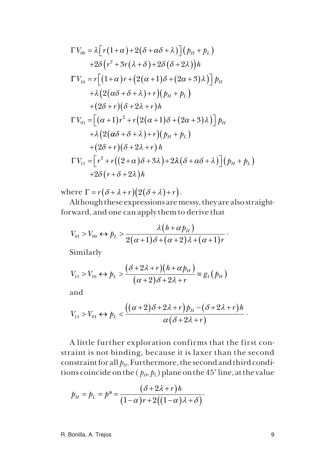$$
\Gamma V_{00} = \lambda \Big[ r (1 + \alpha) + 2(\delta + \alpha \delta + \lambda) \Big] (p_H + p_L)
$$
  
+2\delta (r^2 + 3r(\lambda + \delta) + 2\delta(\delta + 2\lambda))h  

$$
\Gamma V_{10} = r \Big[ (1 + \alpha) r + (2(\alpha + 1)\delta + (2\alpha + 3)\lambda) \Big] p_H
$$

$$
+ \lambda \Big( 2(\alpha \delta + \delta + \lambda) + r \Big) (p_H + p_L)
$$

$$
+ (2\delta + r)(\delta + 2\lambda + r)h
$$

$$
\Gamma V_{01} = \Big[ (\alpha + 1) r^2 + r \Big( 2(\alpha + 1)\delta + (2\alpha + 3)\lambda \Big) \Big] p_H
$$

$$
+ \lambda \Big( 2(\alpha \delta + \delta + \lambda) + r \Big) (p_H + p_L)
$$

$$
+ (2\delta + r)(\delta + 2\lambda + r) h
$$

$$
\Gamma V_{11} = \Big[ r^2 + r \Big( (2 + \alpha) \delta + 3\lambda \Big) + 2\lambda (\delta + \alpha \delta + \lambda) \Big] (p_H + p_L)
$$

$$
+ 2\delta (r + \delta + 2\lambda) h
$$

where  $\Gamma = r(\delta + \lambda + r)(2(\delta + \lambda) + r)$ .

Although these expressions are messy, they are also straightforward, and one can apply them to derive that

$$
V_{01} > V_{00} \leftrightarrow p_L > \frac{\lambda (h + \alpha p_H)}{2(\alpha + 1)\delta + (\alpha + 2)\lambda + (\alpha + 1)r}.
$$

Similarly

$$
V_{11} > V_{10} \leftrightarrow p_L > \frac{(\delta + 2\lambda + r)(h + \alpha p_H)}{(\alpha + 2)\delta + 2\lambda + r} \equiv g_1(p_H)
$$

and

$$
V_{11} > V_{01} \leftrightarrow p_L < \frac{((\alpha+2)\delta+2\lambda+r)p_H-(\delta+2\lambda+r)h}{\alpha(\delta+2\lambda+r)}.
$$

A little further exploration confirms that the first constraint is not binding, because it is laxer than the second constraint for all  $p_H$ . Furthermore, the second and third conditions coincide on the  $(p_H, p_L)$  plane on the 45° line, at the value

$$
p_H = p_L = p^* = \frac{(\delta + 2\lambda + r)h}{(1 - \alpha)r + 2((1 - \alpha)\lambda + \delta)}.
$$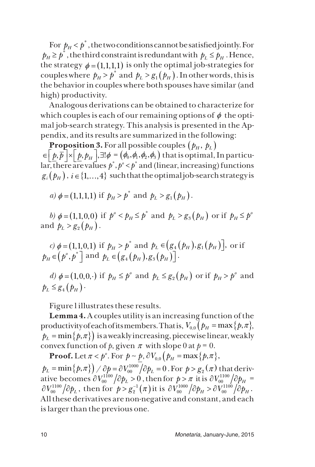For  $p_H < p^*$ , the two conditions cannot be satisfied jointly. For  $p_H \geq p^*$ , the third constraint is redundant with  $p_L \leq p_H$ . Hence, the strategy  $\phi = (1,1,1,1)$  is only the optimal job-strategies for couples where  $p_H > p^*$  and  $p_L > g_1(p_H)$ . In other words, this is the behavior in couples where both spouses have similar (and high) productivity.

Analogous derivations can be obtained to characterize for which couples is each of our remaining options of  $\phi$  the optimal job-search strategy. This analysis is presented in the Appendix, and its results are summarized in the following:

**Proposition 3.** For all possible couples  $(p_H, p_L)$  $\in$   $\left[ p,\overline{p} \right] \times \left[ p, p_H \right]$ ,  $\exists ! \phi = (\phi_0, \phi_1, \phi_2, \phi_3)$  that is optimal, In particu- $\lim_{b \to \infty} \frac{1}{b^2}$  and (linear, increasing) functions  $g_i(p_H)$ ,  $i \in \{1, ..., 4\}$  such that the optimal job-search strategy is

a) 
$$
\phi = (1,1,1,1)
$$
 if  $p_H > p^*$  and  $p_L > g_1(p_H)$ .

*b*)  $\phi = (1,1,0,0)$  if  $p^{\circ} < p_H \le p^*$  and  $p_L > g_3(p_H)$  or if  $p_H \le p^{\circ}$ and  $p_I > g_p(p_H)$ .

*c)*  $\phi = (1, 1, 0, 1)$  if  $p_H > p^*$  and  $p_L \in (g_4(p_H), g_1(p_H))$ , or if  $p_H \in (p^{\circ}, p^*]$  and  $p_L \in (g_4(p_H), g_3(p_H))$ .

*d*)  $\phi = (1, 0, 0, \cdot)$  if  $p_H \le p^{\circ}$  and  $p_L \le g_2(p_H)$  or if  $p_H > p^{\circ}$  and  $p_L \leq g_4(p_H)$ .

Figure l illustrates these results.

**Lemma 4.** A couples utility is an increasing function of the productivity of each of its members. That is,  $V_{0,0} (p_H = \max\{p,\pi\})$ ,  $p_L = \min\{p, \pi\}$  is a weakly increasing, piecewise linear, weakly convex function of *p*, given  $\pi$  with slope 0 at  $p = 0$ .

**Proof.** Let  $\pi < p^{\circ}$ . For  $p \sim p$ ,  $\partial V_{0,0} (p_{H} = \max\{p,\pi\})$ ,  $p^{}_L = \min\bigl\{\!\!\!\bigl/\,p,\pi^*\bigr\}\!\!\bigr) \,/\,\partial p = \partial V^{1000}_{00} \big/ \partial p^{}_L = 0$  . For  $p > g^{}_2(\pi)$  that derivative becomes  $\partial V^{1100}_{00} \big/ \partial p_L$  >  $0$  , then for  $p$  >  $\pi$  it is  $\partial V^{1100}_{00} \big/ \partial p_H$  =  $\partial V_{00}^{1100} \left/ {\partial \hspace{-.03in}\slash\hspace{-.14cm} p}_L \right., \hbox{ then for } \hbox{ } p > g_2^{-1}\bigl(\pi \bigr) \hbox{ it is } \partial V_{00}^{1000} \left/ {\partial \hspace{-.03in}\slash\hspace{-.14cm} p}_H \!\!\!\!> \partial V_{00}^{1100} \left/ {\partial \hspace{-.03in}\slash\hspace{-.14cm} p}_H \right.. \right.$ All these derivatives are non-negative and constant, and each is larger than the previous one.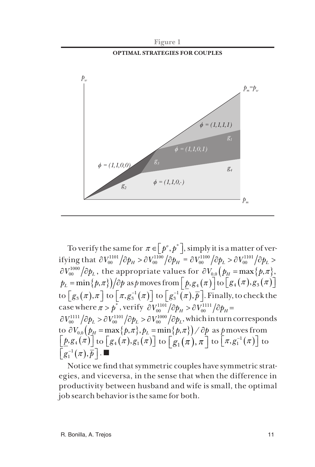

**Figure 1**

To verify the same for  $\pi \in [p^o, p^*]$ , simply it is a matter of verifying that  $\partial V_{00}^{1101}/\partial p_H > \partial V_{00}^{1100}/\partial p_H = \partial V_{00}^{1100}/\partial p_L > \partial V_{00}^{1101}/\partial p_L >$  $\partial V_{00}^{1000} \big/ \partial \rlap{/}p_L^{}$  , the appropriate values for  $\partial V_{0,0} \big/ \big/ \rlap{/}p_H^{} = \max \big\{ \rlap{/}p, \pi \big\},$  $p_{L} = \min\{p, \pi\} \big) \big/ \widehat{o} p \text{ as } p \text{ moves from} \Big\lfloor \underline{p}, g_{4}\big(\pi\big) \Big\rfloor \text{to} \Big[ g_{4}\big(\pi\big), g_{3}\big(\pi\big) \Big]$ to  $\left[ g_3(\pi), \pi \right]$  to  $\left[ \pi, g_3^{-1}(\pi) \right]$  to  $\left[ g_3^{-1}(\pi), \overline{p} \right]$ . Finally, to check the case where  $\pi > p^*$  , verify  $\partial V_{00}^{1101}/ \partial p_H > \partial V_{00}^{1111}/ \partial p_H =$  $\partial V_{00}^{1111}/ \partial \dot{p}_L > \partial V_{00}^{1101}/ \partial \dot{p}_L > \partial V_{00}^{1000}/ \partial \dot{p}_L$ , which in turn corresponds to  $\partial V_{00} (p_\mu = \max\{p,\pi\}, p_\mu = \min\{p,\pi\}) / \partial p$  as p moves from  $\underline{\left[\underline{p},g_4(\pi)\right]}$  to  $\left[g_4(\pi),g_1(\pi)\right]$  to  $\left[g_1(\pi),\pi\right]$  to  $\left[\pi,g_1^{-1}(\pi)\right]$  to  $\left[\, g_1^{\scriptscriptstyle -1}(\pi),\overline{p}\,\right]$  .  $\blacksquare$ 

Notice we find that symmetric couples have symmetric strategies, and viceversa, in the sense that when the difference in productivity between husband and wife is small, the optimal job search behavior is the same for both.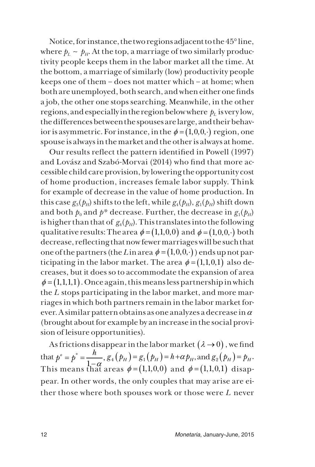Notice, for instance, the two regions adjacent to the 45° line, where  $p_l \sim p_H$ . At the top, a marriage of two similarly productivity people keeps them in the labor market all the time. At the bottom, a marriage of similarly (low) productivity people keeps one of them – does not matter which – at home; when both are unemployed, both search, and when either one finds a job, the other one stops searching. Meanwhile, in the other regions, and especially in the region below where  $p_l$  is very low, the differences between the spouses are large, and their behavior is asymmetric. For instance, in the  $\phi = (1,0,0,.)$  region, one spouse is always in the market and the other is always at home.

Our results reflect the pattern identified in Powell (1997) and Lovász and Szabó-Morvai (2014) who find that more accessible child care provision, by lowering the opportunity cost of home production, increases female labor supply. Think for example of decrease in the value of home production. In this case  $g_3(p_H)$  shifts to the left, while  $g_4(p_H)$ ,  $g_1(p_H)$  shift down and both  $p_0$  and  $p^*$  decrease. Further, the decrease in  $g_1(p_H)$ is higher than that of  $g_4(p_H)$ . This translates into the following qualitative results: The area  $\phi = (1,1,0,0)$  and  $\phi = (1,0,0,.)$  both decrease, reflecting that now fewer marriages will be such that one of the partners (the *L* in area  $\phi = (1,0,0,.)$ ) ends up not participating in the labor market. The area  $\phi = (1,1,0,1)$  also decreases, but it does so to accommodate the expansion of area  $\phi = (1,1,1,1)$ . Once again, this means less partnership in which the *L* stops participating in the labor market, and more marriages in which both partners remain in the labor market forever. A similar pattern obtains as one analyzes a decrease in  $\alpha$ (brought about for example by an increase in the social provision of leisure opportunities).

As frictions disappear in the labor market  $(\lambda \rightarrow 0)$ , we find that  $p^{\circ} = p^* = \frac{h}{1 - \alpha}, g_4(p_H) = g_1(p_H) = h + \alpha p_H, \text{ and } g_2(p_H) = p_H.$ This means that areas  $\phi = (1,1,0,0)$  and  $\phi = (1,1,0,1)$  disappear. In other words, the only couples that may arise are either those where both spouses work or those were *L* never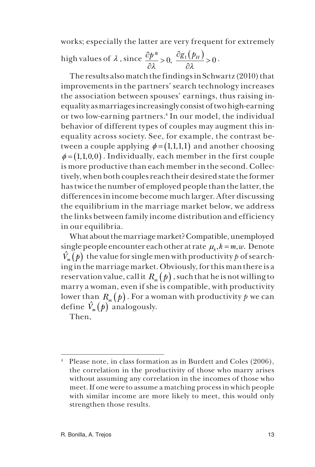works; especially the latter are very frequent for extremely

high values of 
$$
\lambda
$$
, since  $\frac{\partial p^*}{\partial \lambda} > 0$ ,  $\frac{\partial g_1(p_H)}{\partial \lambda} > 0$ .

The results also match the findings in Schwartz (2010) that improvements in the partners' search technology increases the association between spouses' earnings, thus raising inequality as marriages increasingly consist of two high-earning or two low-earning partners.4 In our model, the individual behavior of different types of couples may augment this inequality across society. See, for example, the contrast between a couple applying  $\phi = (1,1,1,1)$  and another choosing  $\phi = (1,1,0,0)$ . Individually, each member in the first couple is more productive than each member in the second. Collectively, when both couples reach their desired state the former has twice the number of employed people than the latter, the differences in income become much larger. After discussing the equilibrium in the marriage market below, we address the links between family income distribution and efficiency in our equilibria.

What about the marriage market? Compatible, unemployed single people encounter each other at rate  $\mu_k$ ,  $k = m, w$ . Denote  $\hat{V}_n(\rho)$  the value for single men with productivity p of searching in the marriage market. Obviously, for this man there is a reservation value, call it  $R_m(p)$ , such that he is not willing to marry a woman, even if she is compatible, with productivity lower than  $R_m(p)$ . For a woman with productivity p we can define  $\hat{V}_m(p)$  analogously.

Then,

Please note, in class formation as in Burdett and Coles (2006), the correlation in the productivity of those who marry arises without assuming any correlation in the incomes of those who meet. If one were to assume a matching process in which people with similar income are more likely to meet, this would only strengthen those results.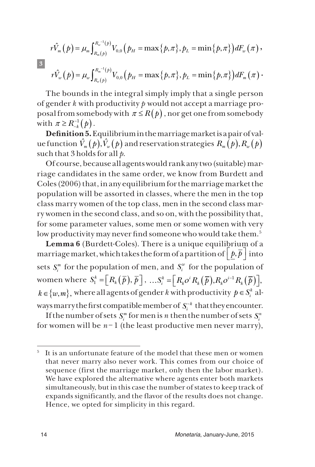$$
\begin{aligned} r\hat{V}_m\left(\!\! \begin{array}{l} \, \\ \, \\ \end{array}\!\!\! \right) & = \mu_m \!\int_{R_m(p)}^{R_w^{-1}(p)} V_{0,0}\!\left(\!\! \begin{array}{l} \, \\ \, \\ \, \\ \end{array}\!\!\!\! \right) & = \max\left\{\!\! \begin{array}{l} \, \\ \, \\ \, \\ \, \\ \end{array}\!\!\!\! \right\},p_L = \min\left\{\!\! \begin{array}{l} \, \\ \, \\ \, \\ \, \\ \, \end{array}\!\!\!\!\! \right) & = \mu_w \!\int_{R_w(p)}^{R_m^{-1}(p)} V_{0,0}\!\left(\!\! \begin{array}{l} \, \\ \, \\ \, \\ \, \end{array}\!\!\!\!\!\right) & = \max\left\{\!\! \begin{array}{l} \, \\ \, \\ \, \\ \, \end{array}\!\!\!\!\right\},p_L = \min\left\{\!\! \begin{array}{l} \, \\ \, \\ \, \\ \, \end{array}\!\!\!\!\right) & = \mu_w \!\int_{R_w(p)}^{R_m^{-1}(p)} V_{0,0}\!\left(\!\! \begin{array}{l} \, \\ \, \\ \, \end{array}\!\!\!\!\right) & = \max\left\{\!\! \begin{array}{l} \, \\ \, \\ \, \end{array}\!\!\!\!\right\},p_L = \min\left\{\!\! \begin{array}{l} \, \\ \, \\ \, \end{array}\!\!\!\!\right) & = \mu_m \!\left\{\!\! \begin{array}{l} \, \\ \, \\ \, \\ \, \end{array}\!\!\!\!\right\} & = \min\left\{\!\! \begin{array}{l} \, \\ \, \\ \, \end{array}\!\!\!\!\right\},p_L = \min\left\{\!\! \begin{array}{l} \, \\ \, \\ \, \end{array}\!\!\!\!\right) & = \mu_m \!\left\{\!\! \begin{array}{l} \, \\ \, \\ \, \\ \, \end{array}\!\!\!\!\right\} & = \min\left\{\!\! \begin{array}{l} \, \\ \, \\ \, \\ \, \end{array}\!\!\!\!\right\} & = \mu_m \!\left\{\!\! \begin{array}{l} \, \\ \, \\ \, \\ \, \end{array}\!\!\!\!\right\} & = \min\left\{\!\! \begin{array}{l} \, \\ \, \\ \, \\ \, \end{array}\!\!\!\right\} & = \mu_m \!\left\{\!\! \begin{array}{l}
$$

 **3** 

The bounds in the integral simply imply that a single person of gender *k* with productivity *p* would not accept a marriage proposal from somebody with  $\pi \leq R(p)$ , nor get one from somebody with  $\pi \geq R_{-k}^{-1}(p)$ .

**Definition 5.** Equilibrium in the marriage market is a pair of value function  $\hat{V}_m(p), \hat{V}_m(p)$  and reservation strategies  $R_m(p), R_m(p)$ such that 3 holds for all *p*.

Of course, because all agents would rank any two (suitable) marriage candidates in the same order, we know from Burdett and Coles (2006) that, in any equilibrium for the marriage market the population will be assorted in classes, where the men in the top class marry women of the top class, men in the second class marry women in the second class, and so on, with the possibility that, for some parameter values, some men or some women with very low productivity may never find someone who would take them.<sup>5</sup>

**Lemma 6** (Burdett-Coles). There is a unique equilibrium of a marriage market, which takes the form of a partition of  $|p,\overline{p}|$  into sets  $S_i^m$  for the population of men, and  $S_i^w$  for the population of women where  $S_1^k = \left[ R_k(\overline{p}), \overline{p} \right], \dots S_i^k = \left[ R_k o^i R_k(\overline{p}), R_k o^{i-1} R_k(\overline{p}) \right],$  $k \in \{w, m\}$ , where all agents of gender *k* with productivity  $p \in S_i^k$  always marry the first compatible member of  $S_i^{k}$  that they encounter.

If the number of sets  $S_i^m$  for men is  $n$  then the number of sets  $S_i^n$ for women will be  $n-1$  (the least productive men never marry),

It is an unfortunate feature of the model that these men or women that never marry also never work. This comes from our choice of sequence (first the marriage market, only then the labor market). We have explored the alternative where agents enter both markets simultaneously, but in this case the number of states to keep track of expands significantly, and the flavor of the results does not change. Hence, we opted for simplicity in this regard.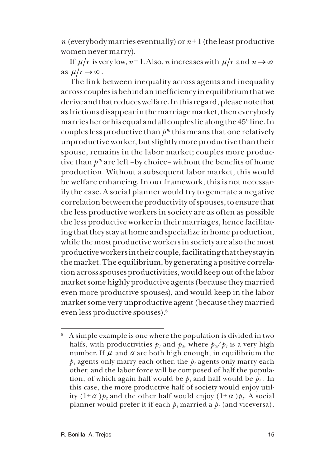*n* (everybody marries eventually) or  $n+1$  (the least productive women never marry).

If  $\mu/r$  is very low,  $n=1$ . Also, *n* increases with  $\mu/r$  and  $n \to \infty$ as  $\mu/r \rightarrow \infty$ .

The link between inequality across agents and inequality across couples is behind an inefficiency in equilibrium that we derive and that reduces welfare. In this regard, please note that as frictions disappear in the marriage market, then everybody marries her or his equal and all couples lie along the 45° line. In couples less productive than *p\** this means that one relatively unproductive worker, but slightly more productive than their spouse, remains in the labor market; couples more productive than *p\** are left –by choice– without the benefits of home production. Without a subsequent labor market, this would be welfare enhancing. In our framework, this is not necessarily the case. A social planner would try to generate a negative correlation between the productivity of spouses, to ensure that the less productive workers in society are as often as possible the less productive worker in their marriages, hence facilitating that they stay at home and specialize in home production, while the most productive workers in society are also the most productive workers in their couple, facilitating that they stay in the market. The equilibrium, by generating a positive correlation across spouses productivities, would keep out of the labor market some highly productive agents (because they married even more productive spouses), and would keep in the labor market some very unproductive agent (because they married even less productive spouses).6

<sup>6</sup> A simple example is one where the population is divided in two halfs, with productivities  $p_1$  and  $p_2$ , where  $p_2/p_1$  is a very high number. If  $\mu$  and  $\alpha$  are both high enough, in equilibrium the  $p_1$  agents only marry each other, the  $p_2$  agents only marry each other, and the labor force will be composed of half the population, of which again half would be  $p_1$  and half would be  $p_2$ . In this case, the more productive half of society would enjoy utility  $(1+\alpha) p_2$  and the other half would enjoy  $(1+\alpha) p_1$ . A social planner would prefer it if each  $p_1$  married a  $p_2$  (and viceversa),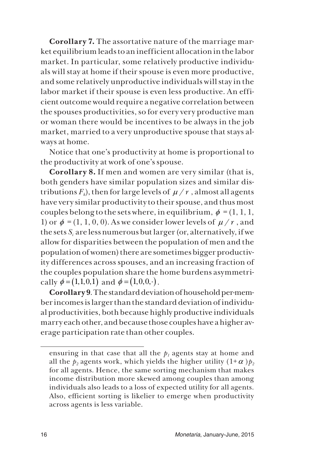**Corollary 7.** The assortative nature of the marriage market equilibrium leads to an inefficient allocation in the labor market. In particular, some relatively productive individuals will stay at home if their spouse is even more productive, and some relatively unproductive individuals will stay in the labor market if their spouse is even less productive. An efficient outcome would require a negative correlation between the spouses productivities, so for every very productive man or woman there would be incentives to be always in the job market, married to a very unproductive spouse that stays always at home.

Notice that one's productivity at home is proportional to the productivity at work of one's spouse.

**Corollary 8.** If men and women are very similar (that is, both genders have similar population sizes and similar distributions  $F_k$ ), then for large levels of  $\mu/r$ , almost all agents have very similar productivity to their spouse, and thus most couples belong to the sets where, in equilibrium,  $\phi = (1, 1, 1, 1)$ 1) or  $\phi = (1, 1, 0, 0)$ . As we consider lower levels of  $\mu / r$ , and the sets *Si* are less numerous but larger (or, alternatively, if we allow for disparities between the population of men and the population of women) there are sometimes bigger productivity differences across spouses, and an increasing fraction of the couples population share the home burdens asymmetrically  $\phi = (1,1,0,1)$  and  $\phi = (1,0,0, \cdot)$ .

**Corollary 9**. The standard deviation of household per-member incomes is larger than the standard deviation of individual productivities, both because highly productive individuals marry each other, and because those couples have a higher average participation rate than other couples.

ensuring in that case that all the  $p_1$  agents stay at home and all the  $p_2$  agents work, which yields the higher utility  $(1+\alpha)p_2$ for all agents. Hence, the same sorting mechanism that makes income distribution more skewed among couples than among individuals also leads to a loss of expected utility for all agents. Also, efficient sorting is likelier to emerge when productivity across agents is less variable.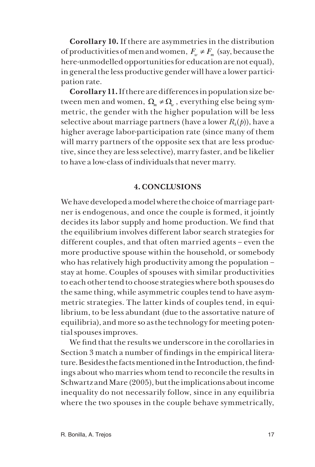**Corollary 10.** If there are asymmetries in the distribution of productivities of men and women,  $F_w \neq F_w$  (say, because the here-unmodelled opportunities for education are not equal), in general the less productive gender will have a lower participation rate.

**Corollary 11.** If there are differences in population size between men and women,  $\Omega_m \neq \Omega_n$ , everything else being symmetric, the gender with the higher population will be less selective about marriage partners (have a lower  $R_k(p)$ ), have a higher average labor-participation rate (since many of them will marry partners of the opposite sex that are less productive, since they are less selective), marry faster, and be likelier to have a low-class of individuals that never marry.

#### **4. CONCLUSIONS**

We have developed a model where the choice of marriage partner is endogenous, and once the couple is formed, it jointly decides its labor supply and home production. We find that the equilibrium involves different labor search strategies for different couples, and that often married agents – even the more productive spouse within the household, or somebody who has relatively high productivity among the population – stay at home. Couples of spouses with similar productivities to each other tend to choose strategies where both spouses do the same thing, while asymmetric couples tend to have asymmetric strategies. The latter kinds of couples tend, in equilibrium, to be less abundant (due to the assortative nature of equilibria), and more so as the technology for meeting potential spouses improves.

We find that the results we underscore in the corollaries in Section 3 match a number of findings in the empirical literature. Besides the facts mentioned in the Introduction, the findings about who marries whom tend to reconcile the results in Schwartz and Mare (2005), but the implications about income inequality do not necessarily follow, since in any equilibria where the two spouses in the couple behave symmetrically,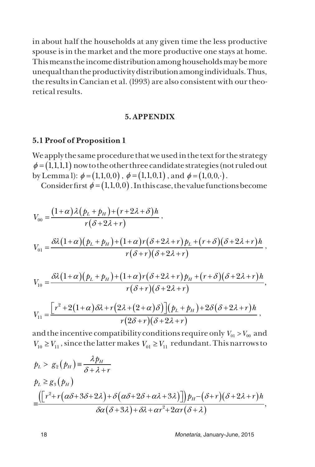in about half the households at any given time the less productive spouse is in the market and the more productive one stays at home. This means the income distribution among households may be more unequal than the productivity distribution among individuals. Thus, the results in Cancian et al. (l993) are also consistent with our theoretical results.

#### **5. APPENDIX**

#### **5.1 Proof of Proposition 1**

We apply the same procedure that we used in the text for the strategy  $\phi = (1,1,1,1)$  now to the other three candidate strategies (not ruled out by Lemma l):  $\phi = (1,1,0,0)$ ,  $\phi = (1,1,0,1)$ , and  $\phi = (1,0,0, \cdot)$ .

Consider first  $\phi = (1,1,0,0)$ . In this case, the value functions become

$$
V_{00} = \frac{(1+\alpha)\lambda (p_L + p_H) + (r + 2\lambda + \delta)h}{r(\delta + 2\lambda + r)},
$$
  
\n
$$
V_{01} = \frac{\delta\lambda (1+\alpha)(p_L + p_H) + (1+\alpha)r(\delta + 2\lambda + r)p_L + (r + \delta)(\delta + 2\lambda + r)h}{r(\delta + r)(\delta + 2\lambda + r)},
$$
  
\n
$$
V_{10} = \frac{\delta\lambda (1+\alpha)(p_L + p_H) + (1+\alpha)r(\delta + 2\lambda + r)p_H + (r + \delta)(\delta + 2\lambda + r)h}{r(\delta + r)(\delta + 2\lambda + r)},
$$

$$
V_{11} = \frac{\left[r^2 + 2(1+\alpha)\delta\lambda + r(2\lambda + (2+\alpha)\delta)\right](p_L + p_H) + 2\delta(\delta + 2\lambda + r)h}{r(2\delta + r)(\delta + 2\lambda + r)},
$$

and the incentive compatibility conditions require only  $V_{01} > V_{00}$  and  $V_{10} \geq V_{11}$ , since the latter makes  $V_{01} \geq V_{11}$  redundant. This narrows to

$$
p_L > g_2(p_H) = \frac{\lambda p_H}{\delta + \lambda + r}
$$
  
\n
$$
p_L \ge g_3(p_H)
$$
  
\n
$$
= \frac{\left(\left[r^2 + r\left(\alpha\delta + 3\delta + 2\lambda\right) + \delta\left(\alpha\delta + 2\delta + \alpha\lambda + 3\lambda\right)\right]\right)p_H - \left(\delta + r\right)\left(\delta + 2\lambda + r\right)h}{\delta\alpha(\delta + 3\lambda) + \delta\lambda + \alpha r^2 + 2\alpha r(\delta + \lambda)},
$$

18 *Monetaria*, January-June, 2015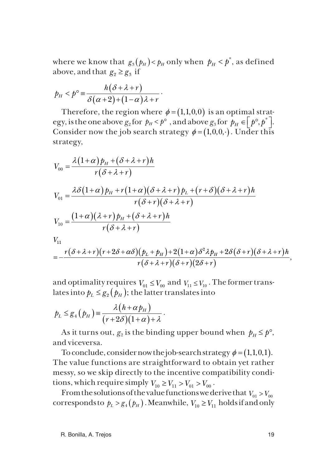where we know that  $g_3(p_H) < p_H$  only when  $p_H < p^*$ , as defined above, and that  $g_2 \ge g_3$  if

$$
p_H < p^\circ \equiv \frac{h(\delta + \lambda + r)}{\delta(\alpha + 2) + (1 - \alpha)\lambda + r}.
$$

Therefore, the region where  $\phi = (1,1,0,0)$  is an optimal strategy, is the one above  $g_2$  for  $p_H < p^\circ$  , and above  $g_3$  for  $p_H \in [p^\circ, p^*]$ . Consider now the job search strategy  $\phi = (1,0,0, \cdot)$ . Under this strategy,

$$
V_{00} = \frac{\lambda (1+\alpha) p_H + (\delta + \lambda + r) h}{r(\delta + \lambda + r)}
$$
  
\n
$$
V_{01} = \frac{\lambda \delta (1+\alpha) p_H + r(1+\alpha) (\delta + \lambda + r) p_L + (r+\delta) (\delta + \lambda + r) h}{r(\delta + r) (\delta + \lambda + r)}
$$
  
\n
$$
V_{10} = \frac{(1+\alpha)(\lambda + r) p_H + (\delta + \lambda + r) h}{r(\delta + \lambda + r)}
$$
  
\n
$$
V_{11}
$$
  
\n
$$
= -\frac{r(\delta + \lambda + r) (r + 2\delta + \alpha \delta) (p_L + p_H) + 2(1+\alpha) \delta^2 \lambda p_H + 2\delta (\delta + r) (\delta + \lambda + r) h}{r(\delta + \lambda + r) (\delta + r) (2\delta + r)},
$$

and optimality requires  $V_{01} \leq V_{00}$  and  $V_{11} \leq V_{10}$ . The former translates into  $p_L \leq g_2(p_H)$ ; the latter translates into

$$
p_L \leq g_4(\rho_H) = \frac{\lambda (h + \alpha p_H)}{(r + 2\delta)(1 + \alpha) + \lambda}.
$$

As it turns out,  $g_2$  is the binding upper bound when  $p_H \leq p^\circ$ , and viceversa.

To conclude, consider now the job-search strategy  $\phi = (1,1,0,1)$ . The value functions are straightforward to obtain yet rather messy, so we skip directly to the incentive compatibility conditions, which require simply  $V_{10} \geq V_{11} > V_{01} > V_{00}$ .

From the solutions of the value functions we derive that  $V_{01} > V_{00}$ corresponds to  $p_L > g_4(p_H)$ . Meanwhile,  $V_{10} \geq V_{11}$  holds if and only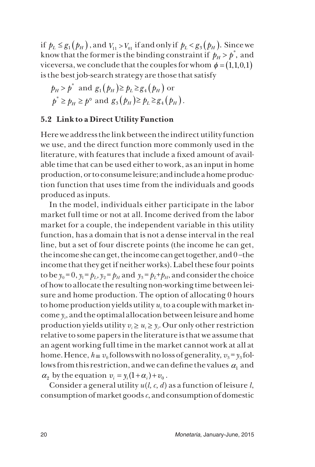if  $p_L \leq g_1(p_H)$ , and  $V_{11} > V_{01}$  if and only if  $p_L < g_3(p_H)$ . Since we know that the former is the binding constraint if  $p_H > p^*$ , and viceversa, we conclude that the couples for whom  $\phi = (1, 1, 0, 1)$ is the best job-search strategy are those that satisfy

$$
p_H > p^* \text{ and } g_1(p_H) \ge p_L \ge g_4(p_H) \text{ or}
$$
  

$$
p^* \ge p_H \ge p^{\circ} \text{ and } g_3(p_H) \ge p_L \ge g_4(p_H).
$$

## **5.2 Link to a Direct Utility Function**

Here we address the link between the indirect utility function we use, and the direct function more commonly used in the literature, with features that include a fixed amount of available time that can be used either to work, as an input in home production, or to consume leisure; and include a home production function that uses time from the individuals and goods produced as inputs.

In the model, individuals either participate in the labor market full time or not at all. Income derived from the labor market for a couple, the independent variable in this utility function, has a domain that is not a dense interval in the real line, but a set of four discrete points (the income he can get, the income she can get, the income can get together, and 0 –the income that they get if neither works). Label these four points to be  $y_0 = 0$ ,  $y_1 = p_L$ ,  $y_2 = p_H$  and  $y_3 = p_L + p_H$ , and consider the choice of how to allocate the resulting non-working time between leisure and home production. The option of allocating 0 hours to home production yields utility  $u_i$  to a couple with market income *yi* , and the optimal allocation between leisure and home production yields utility  $v_i \geq u_i \geq y_i$ . Our only other restriction relative to some papers in the literature is that we assume that an agent working full time in the market cannot work at all at home. Hence,  $h \equiv v_0$  follows with no loss of generality,  $v_3 = y_3$  follows from this restriction, and we can define the values  $\alpha_1$  and  $\alpha_2$  by the equation  $v_i = y_i(1 + \alpha_i) + v_0$ .

Consider a general utility *u*(*l, c, d*) as a function of leisure *l*, consumption of market goods *c*, and consumption of domestic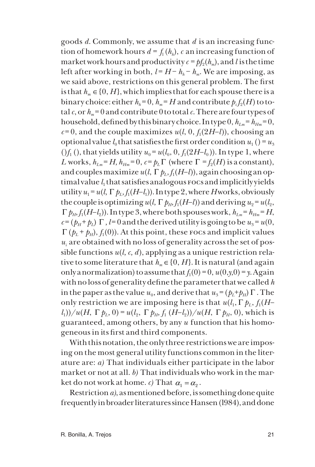goods *d*. Commonly, we assume that *d* is an increasing function of homework hours  $d = f_1(h_h)$ , *c* an increasing function of market work hours and productivity  $c = pf<sub>2</sub>(h<sub>m</sub>)$ , and *l* is the time left after working in both,  $l = H - h_h - h_m$ . We are imposing, as we said above, restrictions on this general problem. The first is that  $h_m \in \{0, H\}$ , which implies that for each spouse there is a binary choice: either  $h_h = 0$ ,  $h_m = H$  and contribute  $p_i f_2(H)$  to total  $c$ , or  $h_m = 0$  and contribute 0 to total  $c$ . There are four types of household, defined by this binary choice. In type  $0, h_{lm} = h_{Hm} = 0$ ,  $c=0$ , and the couple maximizes  $u(l, 0, f_1(2H-l))$ , choosing an optional value  $l_0$  that satisfies the first order condition  $u_1$  () =  $u_3$  $(f_1(t), t)$  that yields utility  $u_0 = u(l_0, 0, f_1(2H-l_0))$ . In type 1, where *L* works,  $h_{lm} = H$ ,  $h_{lm} = 0$ ,  $c = p_l \Gamma$  (where  $\Gamma = f_2(H)$  is a constant), and couples maximize  $u(l, \Gamma p_l, f_l(H-l))$ , again choosing an op $t_1$  timal value  $l_1$  that satisfies analogous  $\bar{r}$  ocs and implicitly yields utility  $u_1 = u(l, \Gamma \, p_L, f_1(H-l_1))$ . In type 2, where *H* works, obviously the couple is optimizing  $u(l, \Gamma p_H, f_1(H-l))$  and deriving  $u_2 = u(l_2, \Gamma)$  $\Gamma$   $p_H$ ,  $f_1(H-l_2)$ ). In type 3, where both spouses work,  $h_{Lm} = h_{Hm} = H$ ,  $c = (p_H + p_L)$  Γ,  $l = 0$  and the derived utility is going to be  $u_3 = u(0,$  $\Gamma$  ( $p_L$  +  $p_H$ ),  $f_1(0)$ ). At this point, these rocs and implicit values  $u_i$  are obtained with no loss of generality across the set of possible functions *u*(*l, c, d*), applying as a unique restriction relative to some literature that  $h_m \in \{0, H\}$ . It is natural (and again only a normalization) to assume that  $f_1(0) = 0$ ,  $u(0,y,0) = y$ . Again with no loss of generality define the parameter that we called *h* in the paper as the value  $u_0$ , and derive that  $u_3 = (p_1 + p_1) \Gamma$ . The only restriction we are imposing here is that  $u(l_1, \Gamma p_1, f_1(H-\Gamma p_2))$  $\frac{d_1}{d_1}$ )/*u*(*H*,  $\Gamma$  *p<sub>L</sub>*, 0) = *u*( $l_2$ ,  $\Gamma$  *p<sub>H</sub>*, *f*<sub>1</sub> (*H*–*l*<sub>2</sub>))/*u*(*H*,  $\Gamma$  *p<sub>H</sub>*, 0), which is guaranteed, among others, by any *u* function that his homogeneous in its first and third components.

With this notation, the only three restrictions we are imposing on the most general utility functions common in the literature are: *a)* That individuals either participate in the labor market or not at all. *b)* That individuals who work in the market do not work at home. *c*) That  $\alpha_1 = \alpha_2$ .

Restriction *a)*, as mentioned before, is something done quite frequently in broader literatures since Hansen (l984), and done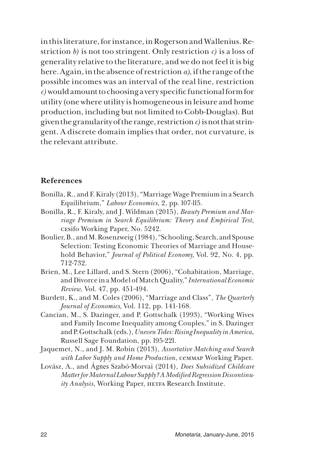in this literature, for instance, in Rogerson and Wallenius. Restriction *b)* is not too stringent. Only restriction *c)* is a loss of generality relative to the literature, and we do not feel it is big here. Again, in the absence of restriction *a)*, if the range of the possible incomes was an interval of the real line, restriction *c)* would amount to choosing a very specific functional form for utility (one where utility is homogeneous in leisure and home production, including but not limited to Cobb-Douglas). But given the granularity of the range, restriction *c)* is not that stringent. A discrete domain implies that order, not curvature, is the relevant attribute.

#### **References**

- Bonilla, R., and F. Kiraly (2013), "Marriage Wage Premium in a Search Equilibrium," *Labour Economics*, 2, pp. l07-ll5.
- Bonilla, R., F. Kiraly, and J. Wildman (2015), *Beauty Premium and Marriage Premium in Search Equilibrium: Theory and Empirical Test*, cesifo Working Paper, No. 5242.
- Boulier, B., and M. Rosenzweig (1984), "Schooling, Search, and Spouse Selection: Testing Economic Theories of Marriage and Household Behavior," *Journal of Political Economy,* Vol. 92, No. 4, pp. 712-732.
- Brien, M., Lee Lillard, and S. Stern (2006), "Cohabitation, Marriage, and Divorce in a Model of Match Quality," *International Economic Review*, Vol. 47, pp. 451-494.
- Burdett, K., and M. Coles (2006), "Marriage and Class", *The Quarterly Journal of Economics,* Vol. 112, pp. 141-168.
- Cancian, M., S. Dazinger, and P. Gottschalk (1993), "Working Wives and Family Income Inequality among Couples," in S. Dazinger and P. Gottschalk (eds.), *Uneven Tides: Rising Inequality in America*, Russell Sage Foundation, pp. l95-22l.
- Jaquemet, N., and J. M. Robin (2013), *Assortative Matching and Search with Labor Supply and Home Production*, cemmap Working Paper.
- Lovász, A., and Ágnes Szabó-Morvai (2014), *Does Subsidized Childcare Matter for Maternal Labour Supply? A Modified Regression Discontinuity Analysis*, Working Paper, HETFA Research Institute.